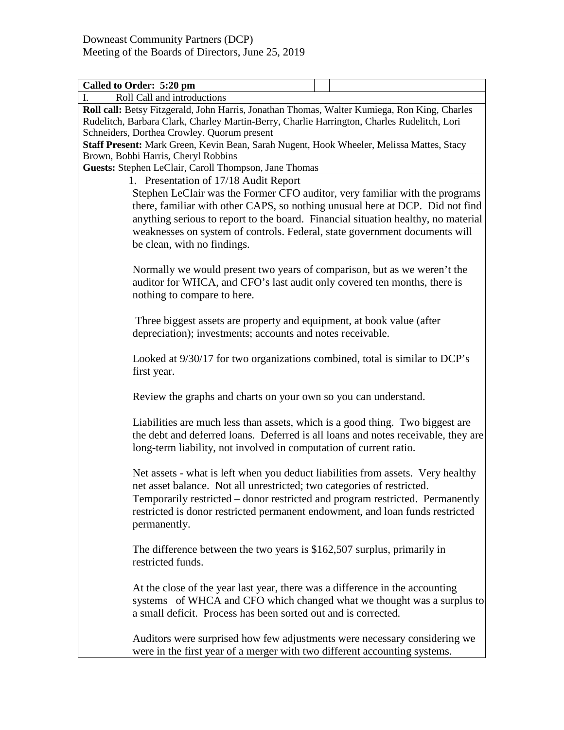| Called to Order: 5:20 pm                                                                                                                                                                                                                                                                                                                    |  |  |
|---------------------------------------------------------------------------------------------------------------------------------------------------------------------------------------------------------------------------------------------------------------------------------------------------------------------------------------------|--|--|
| Roll Call and introductions<br>L                                                                                                                                                                                                                                                                                                            |  |  |
| Roll call: Betsy Fitzgerald, John Harris, Jonathan Thomas, Walter Kumiega, Ron King, Charles<br>Rudelitch, Barbara Clark, Charley Martin-Berry, Charlie Harrington, Charles Rudelitch, Lori                                                                                                                                                 |  |  |
| Schneiders, Dorthea Crowley. Quorum present                                                                                                                                                                                                                                                                                                 |  |  |
| Staff Present: Mark Green, Kevin Bean, Sarah Nugent, Hook Wheeler, Melissa Mattes, Stacy                                                                                                                                                                                                                                                    |  |  |
| Brown, Bobbi Harris, Cheryl Robbins                                                                                                                                                                                                                                                                                                         |  |  |
| Guests: Stephen LeClair, Caroll Thompson, Jane Thomas                                                                                                                                                                                                                                                                                       |  |  |
| 1. Presentation of 17/18 Audit Report                                                                                                                                                                                                                                                                                                       |  |  |
| Stephen LeClair was the Former CFO auditor, very familiar with the programs                                                                                                                                                                                                                                                                 |  |  |
| there, familiar with other CAPS, so nothing unusual here at DCP. Did not find                                                                                                                                                                                                                                                               |  |  |
| anything serious to report to the board. Financial situation healthy, no material                                                                                                                                                                                                                                                           |  |  |
| weaknesses on system of controls. Federal, state government documents will                                                                                                                                                                                                                                                                  |  |  |
| be clean, with no findings.                                                                                                                                                                                                                                                                                                                 |  |  |
| Normally we would present two years of comparison, but as we weren't the<br>auditor for WHCA, and CFO's last audit only covered ten months, there is<br>nothing to compare to here.                                                                                                                                                         |  |  |
| Three biggest assets are property and equipment, at book value (after<br>depreciation); investments; accounts and notes receivable.                                                                                                                                                                                                         |  |  |
| Looked at 9/30/17 for two organizations combined, total is similar to DCP's<br>first year.                                                                                                                                                                                                                                                  |  |  |
| Review the graphs and charts on your own so you can understand.                                                                                                                                                                                                                                                                             |  |  |
| Liabilities are much less than assets, which is a good thing. Two biggest are<br>the debt and deferred loans. Deferred is all loans and notes receivable, they are<br>long-term liability, not involved in computation of current ratio.                                                                                                    |  |  |
| Net assets - what is left when you deduct liabilities from assets. Very healthy<br>net asset balance. Not all unrestricted; two categories of restricted.<br>Temporarily restricted - donor restricted and program restricted. Permanently<br>restricted is donor restricted permanent endowment, and loan funds restricted<br>permanently. |  |  |
| The difference between the two years is $$162,507$ surplus, primarily in<br>restricted funds.                                                                                                                                                                                                                                               |  |  |
| At the close of the year last year, there was a difference in the accounting<br>systems of WHCA and CFO which changed what we thought was a surplus to<br>a small deficit. Process has been sorted out and is corrected.                                                                                                                    |  |  |
| Auditors were surprised how few adjustments were necessary considering we<br>were in the first year of a merger with two different accounting systems.                                                                                                                                                                                      |  |  |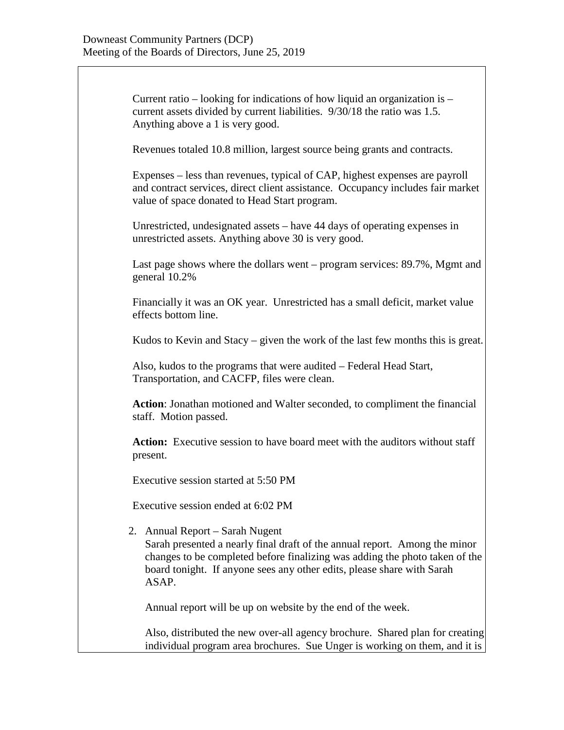Current ratio – looking for indications of how liquid an organization is – current assets divided by current liabilities. 9/30/18 the ratio was 1.5. Anything above a 1 is very good.

Revenues totaled 10.8 million, largest source being grants and contracts.

Expenses – less than revenues, typical of CAP, highest expenses are payroll and contract services, direct client assistance. Occupancy includes fair market value of space donated to Head Start program.

Unrestricted, undesignated assets – have 44 days of operating expenses in unrestricted assets. Anything above 30 is very good.

Last page shows where the dollars went – program services: 89.7%, Mgmt and general 10.2%

Financially it was an OK year. Unrestricted has a small deficit, market value effects bottom line.

Kudos to Kevin and Stacy – given the work of the last few months this is great.

Also, kudos to the programs that were audited – Federal Head Start, Transportation, and CACFP, files were clean.

**Action**: Jonathan motioned and Walter seconded, to compliment the financial staff. Motion passed.

**Action:** Executive session to have board meet with the auditors without staff present.

Executive session started at 5:50 PM

Executive session ended at 6:02 PM

2. Annual Report – Sarah Nugent

Sarah presented a nearly final draft of the annual report. Among the minor changes to be completed before finalizing was adding the photo taken of the board tonight. If anyone sees any other edits, please share with Sarah ASAP.

Annual report will be up on website by the end of the week.

Also, distributed the new over-all agency brochure. Shared plan for creating individual program area brochures. Sue Unger is working on them, and it is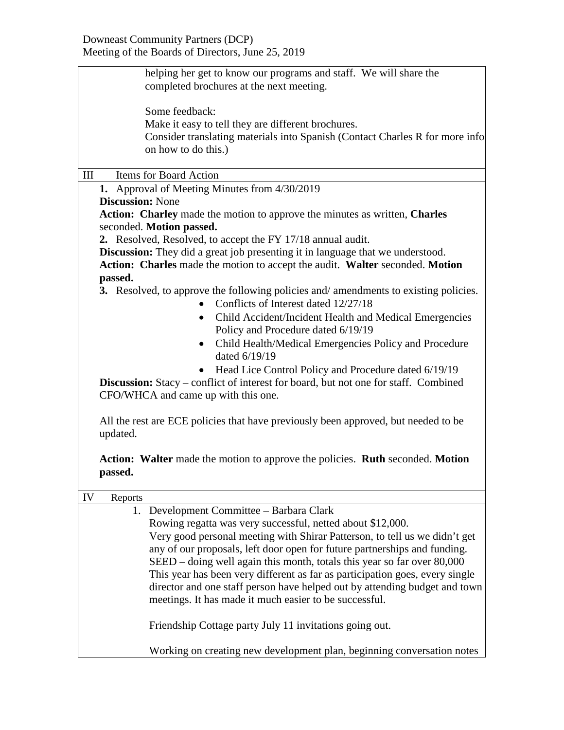| helping her get to know our programs and staff. We will share the                          |
|--------------------------------------------------------------------------------------------|
| completed brochures at the next meeting.                                                   |
| Some feedback:                                                                             |
| Make it easy to tell they are different brochures.                                         |
| Consider translating materials into Spanish (Contact Charles R for more info               |
| on how to do this.)                                                                        |
| Items for Board Action<br>$\mathop{\rm III}$                                               |
| 1. Approval of Meeting Minutes from 4/30/2019                                              |
| <b>Discussion: None</b>                                                                    |
| Action: Charley made the motion to approve the minutes as written, Charles                 |
| seconded. Motion passed.                                                                   |
| 2. Resolved, Resolved, to accept the FY 17/18 annual audit.                                |
| <b>Discussion:</b> They did a great job presenting it in language that we understood.      |
| Action: Charles made the motion to accept the audit. Walter seconded. Motion<br>passed.    |
| 3. Resolved, to approve the following policies and/amendments to existing policies.        |
| Conflicts of Interest dated 12/27/18                                                       |
| Child Accident/Incident Health and Medical Emergencies                                     |
| Policy and Procedure dated 6/19/19                                                         |
| Child Health/Medical Emergencies Policy and Procedure<br>$\bullet$                         |
| dated 6/19/19                                                                              |
| • Head Lice Control Policy and Procedure dated 6/19/19                                     |
| <b>Discussion:</b> Stacy – conflict of interest for board, but not one for staff. Combined |
| CFO/WHCA and came up with this one.                                                        |
|                                                                                            |
| All the rest are ECE policies that have previously been approved, but needed to be         |
| updated.                                                                                   |
|                                                                                            |
| Action: Walter made the motion to approve the policies. Ruth seconded. Motion<br>passed.   |
|                                                                                            |
| IV<br>Reports                                                                              |
| 1. Development Committee - Barbara Clark                                                   |
| Rowing regatta was very successful, netted about \$12,000.                                 |
| Very good personal meeting with Shirar Patterson, to tell us we didn't get                 |
| any of our proposals, left door open for future partnerships and funding.                  |
| SEED - doing well again this month, totals this year so far over 80,000                    |
| This year has been very different as far as participation goes, every single               |
| director and one staff person have helped out by attending budget and town                 |
| meetings. It has made it much easier to be successful.                                     |
| Friendship Cottage party July 11 invitations going out.                                    |
| Working on creating new development plan, beginning conversation notes                     |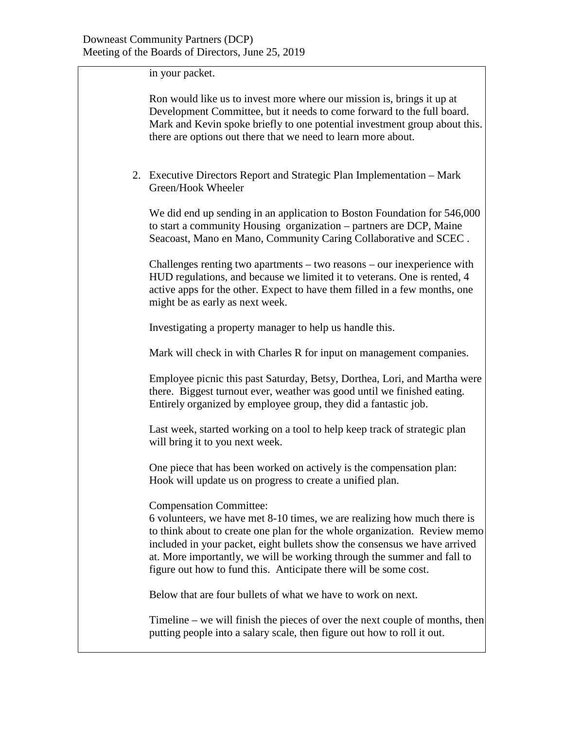in your packet.

| Ron would like us to invest more where our mission is, brings it up at     |
|----------------------------------------------------------------------------|
| Development Committee, but it needs to come forward to the full board.     |
| Mark and Kevin spoke briefly to one potential investment group about this. |
| there are options out there that we need to learn more about.              |

2. Executive Directors Report and Strategic Plan Implementation – Mark Green/Hook Wheeler

We did end up sending in an application to Boston Foundation for 546,000 to start a community Housing organization – partners are DCP, Maine Seacoast, Mano en Mano, Community Caring Collaborative and SCEC .

Challenges renting two apartments – two reasons – our inexperience with HUD regulations, and because we limited it to veterans. One is rented, 4 active apps for the other. Expect to have them filled in a few months, one might be as early as next week.

Investigating a property manager to help us handle this.

Mark will check in with Charles R for input on management companies.

Employee picnic this past Saturday, Betsy, Dorthea, Lori, and Martha were there. Biggest turnout ever, weather was good until we finished eating. Entirely organized by employee group, they did a fantastic job.

Last week, started working on a tool to help keep track of strategic plan will bring it to you next week.

One piece that has been worked on actively is the compensation plan: Hook will update us on progress to create a unified plan.

Compensation Committee:

6 volunteers, we have met 8-10 times, we are realizing how much there is to think about to create one plan for the whole organization. Review memo included in your packet, eight bullets show the consensus we have arrived at. More importantly, we will be working through the summer and fall to figure out how to fund this. Anticipate there will be some cost.

Below that are four bullets of what we have to work on next.

Timeline – we will finish the pieces of over the next couple of months, then putting people into a salary scale, then figure out how to roll it out.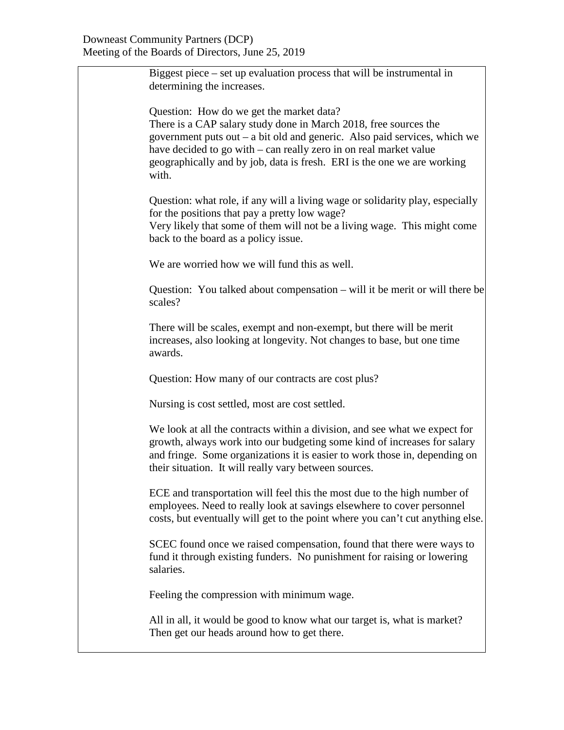| Biggest piece $-$ set up evaluation process that will be instrumental in<br>determining the increases.                                                                                                                                                                                                                                             |
|----------------------------------------------------------------------------------------------------------------------------------------------------------------------------------------------------------------------------------------------------------------------------------------------------------------------------------------------------|
| Question: How do we get the market data?<br>There is a CAP salary study done in March 2018, free sources the<br>government puts out – a bit old and generic. Also paid services, which we<br>have decided to go with – can really zero in on real market value<br>geographically and by job, data is fresh. ERI is the one we are working<br>with. |
| Question: what role, if any will a living wage or solidarity play, especially<br>for the positions that pay a pretty low wage?<br>Very likely that some of them will not be a living wage. This might come<br>back to the board as a policy issue.                                                                                                 |
| We are worried how we will fund this as well.                                                                                                                                                                                                                                                                                                      |
| Question: You talked about compensation – will it be merit or will there be<br>scales?                                                                                                                                                                                                                                                             |
| There will be scales, exempt and non-exempt, but there will be merit<br>increases, also looking at longevity. Not changes to base, but one time<br>awards.                                                                                                                                                                                         |
| Question: How many of our contracts are cost plus?                                                                                                                                                                                                                                                                                                 |
| Nursing is cost settled, most are cost settled.                                                                                                                                                                                                                                                                                                    |
| We look at all the contracts within a division, and see what we expect for<br>growth, always work into our budgeting some kind of increases for salary<br>and fringe. Some organizations it is easier to work those in, depending on<br>their situation. It will really vary between sources.                                                      |
| ECE and transportation will feel this the most due to the high number of<br>employees. Need to really look at savings elsewhere to cover personnel<br>costs, but eventually will get to the point where you can't cut anything else.                                                                                                               |
| SCEC found once we raised compensation, found that there were ways to<br>fund it through existing funders. No punishment for raising or lowering<br>salaries.                                                                                                                                                                                      |
| Feeling the compression with minimum wage.                                                                                                                                                                                                                                                                                                         |
| All in all, it would be good to know what our target is, what is market?<br>Then get our heads around how to get there.                                                                                                                                                                                                                            |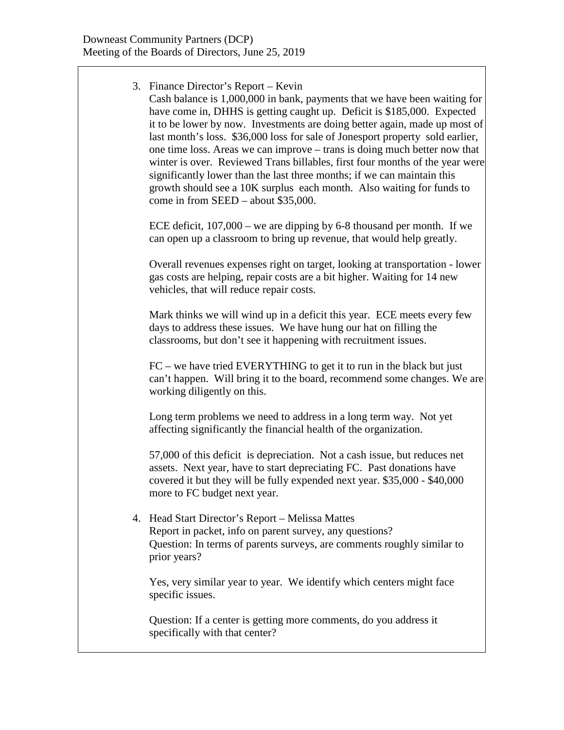3. Finance Director's Report – Kevin Cash balance is 1,000,000 in bank, payments that we have been waiting for have come in, DHHS is getting caught up. Deficit is \$185,000. Expected it to be lower by now. Investments are doing better again, made up most of last month's loss. \$36,000 loss for sale of Jonesport property sold earlier, one time loss. Areas we can improve – trans is doing much better now that winter is over. Reviewed Trans billables, first four months of the year were significantly lower than the last three months; if we can maintain this growth should see a 10K surplus each month. Also waiting for funds to come in from SEED – about \$35,000. ECE deficit, 107,000 – we are dipping by 6-8 thousand per month. If we can open up a classroom to bring up revenue, that would help greatly. Overall revenues expenses right on target, looking at transportation - lower gas costs are helping, repair costs are a bit higher. Waiting for 14 new vehicles, that will reduce repair costs. Mark thinks we will wind up in a deficit this year. ECE meets every few days to address these issues. We have hung our hat on filling the classrooms, but don't see it happening with recruitment issues. FC – we have tried EVERYTHING to get it to run in the black but just can't happen. Will bring it to the board, recommend some changes. We are working diligently on this. Long term problems we need to address in a long term way. Not yet affecting significantly the financial health of the organization. 57,000 of this deficit is depreciation. Not a cash issue, but reduces net assets. Next year, have to start depreciating FC. Past donations have covered it but they will be fully expended next year. \$35,000 - \$40,000 more to FC budget next year. 4. Head Start Director's Report – Melissa Mattes Report in packet, info on parent survey, any questions? Question: In terms of parents surveys, are comments roughly similar to prior years? Yes, very similar year to year. We identify which centers might face specific issues. Question: If a center is getting more comments, do you address it specifically with that center?